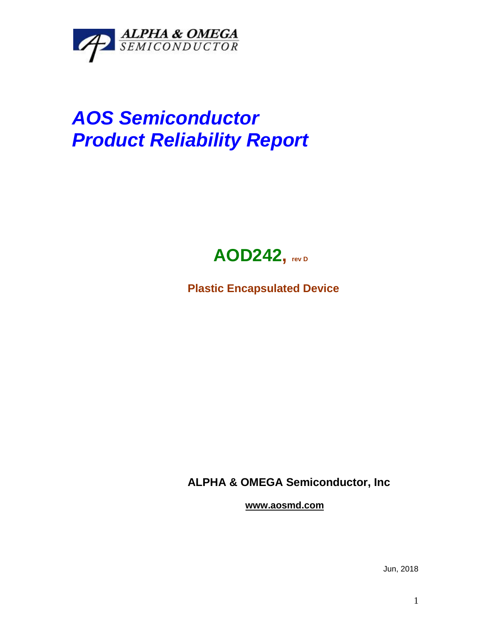

## *AOS Semiconductor Product Reliability Report*



**Plastic Encapsulated Device**

**ALPHA & OMEGA Semiconductor, Inc**

**www.aosmd.com**

Jun, 2018